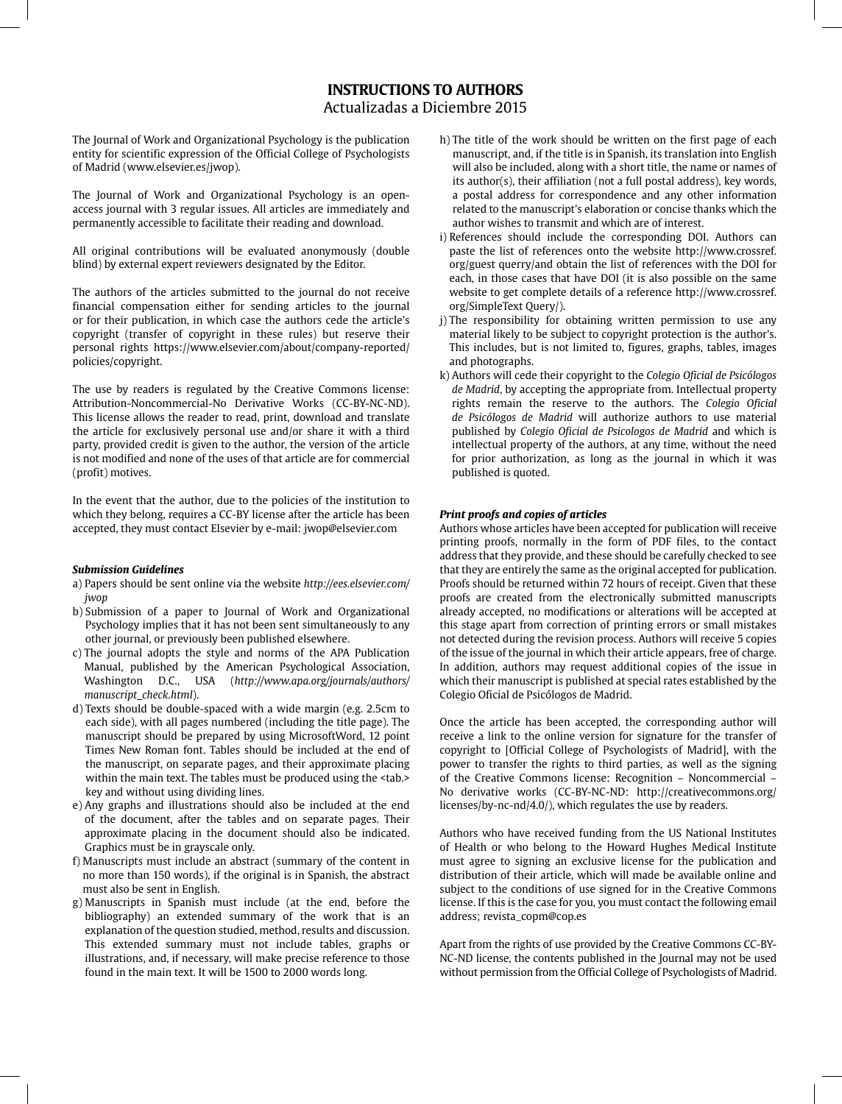# **INSTRUCTIONS TO AUTHORS**

Actualizadas a Diciembre 2015

The Journal of Work and Organizational Psychology is the publication entity for scientific expression of the Official College of Psychologists of Madrid (www.elsevier.es/jwop).

The Journal of Work and Organizational Psychology is an openaccess journal with 3 regular issues. All articles are immediately and permanently accessible to facilitate their reading and download.

All original contributions will be evaluated anonymously (double blind) by external expert reviewers designated by the Editor.

The authors of the articles submitted to the journal do not receive financial compensation either for sending articles to the journal or for their publication, in which case the authors cede the article's copyright (transfer of copyright in these rules) but reserve their personal rights https://www.elsevier.com/about/company-reported/ policies/copyright.

The use by readers is regulated by the Creative Commons license: Attribution-Noncommercial-No Derivative Works (CC-BY-NC-ND). This license allows the reader to read, print, download and translate the article for exclusively personal use and/or share it with a third party, provided credit is given to the author, the version of the article is not modified and none of the uses of that article are for commercial (profit) motives.

In the event that the author, due to the policies of the institution to which they belong, requires a CC-BY license after the article has been accepted, they must contact Elsevier by e-mail: jwop@elsevier.com

## *Submission Guidelines*

- a) Papers should be sent online via the website *http://ees.elsevier.com/ jwop*
- b) Submission of a paper to Journal of Work and Organizational Psychology implies that it has not been sent simultaneously to any other journal, or previously been published elsewhere.
- c) The journal adopts the style and norms of the APA Publication Manual, published by the American Psychological Association, Washington D.C., USA (*http://www.apa.org/journals/authors/ manuscript\_check.html*).
- d) Texts should be double-spaced with a wide margin (e.g. 2.5cm to each side), with all pages numbered (including the title page). The manuscript should be prepared by using MicrosoftWord, 12 point Times New Roman font. Tables should be included at the end of the manuscript, on separate pages, and their approximate placing within the main text. The tables must be produced using the <tab.> key and without using dividing lines.
- e) Any graphs and illustrations should also be included at the end of the document, after the tables and on separate pages. Their approximate placing in the document should also be indicated. Graphics must be in grayscale only.
- f) Manuscripts must include an abstract (summary of the content in no more than 150 words), if the original is in Spanish, the abstract must also be sent in English.
- g) Manuscripts in Spanish must include (at the end, before the bibliography) an extended summary of the work that is an explanation of the question studied, method, results and discussion. This extended summary must not include tables, graphs or illustrations, and, if necessary, will make precise reference to those found in the main text. It will be 1500 to 2000 words long.
- h) The title of the work should be written on the first page of each manuscript, and, if the title is in Spanish, its translation into English will also be included, along with a short title, the name or names of its author(s), their affiliation (not a full postal address), key words, a postal address for correspondence and any other information related to the manuscript's elaboration or concise thanks which the author wishes to transmit and which are of interest.
- i) References should include the corresponding DOI. Authors can paste the list of references onto the website http://www.crossref. org/guest querry/and obtain the list of references with the DOI for each, in those cases that have DOI (it is also possible on the same website to get complete details of a reference http://www.crossref. org/SimpleText Query/).
- j) The responsibility for obtaining written permission to use any material likely to be subject to copyright protection is the author's. This includes, but is not limited to, figures, graphs, tables, images and photographs.
- k) Authors will cede their copyright to the *Colegio Oficial de Psicólogos de Madrid*, by accepting the appropriate from. Intellectual property rights remain the reserve to the authors. The *Colegio Oficial de Psicólogos de Madrid* will authorize authors to use material published by *Colegio Oficial de Psicologos de Madrid* and which is intellectual property of the authors, at any time, without the need for prior authorization, as long as the journal in which it was published is quoted.

# *Print proofs and copies of articles*

Authors whose articles have been accepted for publication will receive printing proofs, normally in the form of PDF files, to the contact address that they provide, and these should be carefully checked to see that they are entirely the same as the original accepted for publication. Proofs should be returned within 72 hours of receipt. Given that these proofs are created from the electronically submitted manuscripts already accepted, no modifications or alterations will be accepted at this stage apart from correction of printing errors or small mistakes not detected during the revision process. Authors will receive 5 copies of the issue of the journal in which their article appears, free of charge. In addition, authors may request additional copies of the issue in which their manuscript is published at special rates established by the Colegio Oficial de Psicólogos de Madrid.

Once the article has been accepted, the corresponding author will receive a link to the online version for signature for the transfer of copyright to [Official College of Psychologists of Madrid], with the power to transfer the rights to third parties, as well as the signing of the Creative Commons license: Recognition – Noncommercial – No derivative works (CC-BY-NC-ND: http://creativecommons.org/ licenses/by-nc-nd/4.0/), which regulates the use by readers.

Authors who have received funding from the US National Institutes of Health or who belong to the Howard Hughes Medical Institute must agree to signing an exclusive license for the publication and distribution of their article, which will made be available online and subject to the conditions of use signed for in the Creative Commons license. If this is the case for you, you must contact the following email address; revista\_copm@cop.es

Apart from the rights of use provided by the Creative Commons CC-BY-NC-ND license, the contents published in the Journal may not be used without permission from the Official College of Psychologists of Madrid.